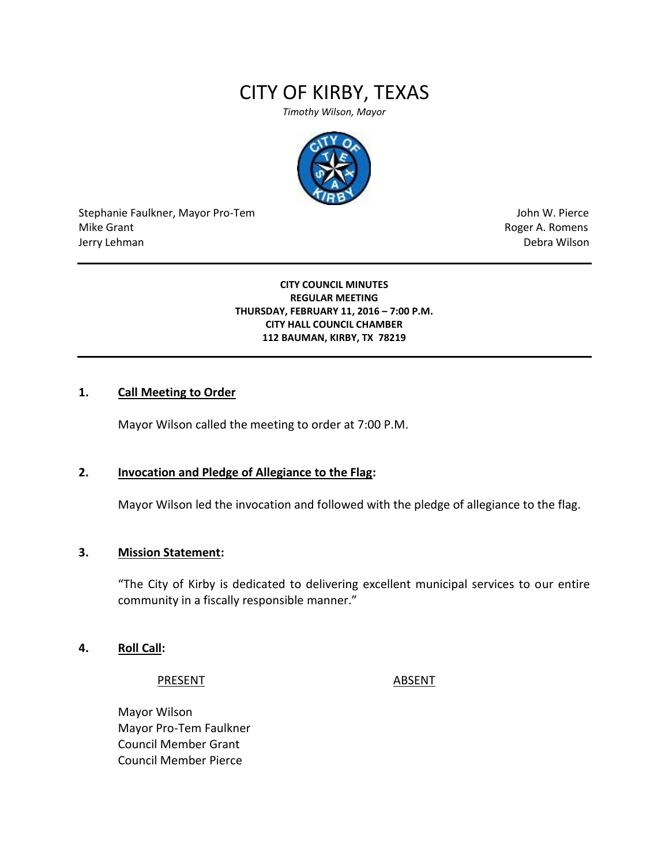# CITY OF KIRBY, TEXAS

*Timothy Wilson, Mayor*



Stephanie Faulkner, Mayor Pro-Tem John W. Pierce Mike Grant **Mike Grant** Roger A. Romens **Contract A. Romens Roger A. Romens** Jerry Lehman Debra Wilson

#### **CITY COUNCIL MINUTES REGULAR MEETING THURSDAY, FEBRUARY 11, 2016 – 7:00 P.M. CITY HALL COUNCIL CHAMBER 112 BAUMAN, KIRBY, TX 78219**

#### **1. Call Meeting to Order**

Mayor Wilson called the meeting to order at 7:00 P.M.

#### **2. Invocation and Pledge of Allegiance to the Flag:**

Mayor Wilson led the invocation and followed with the pledge of allegiance to the flag.

#### **3. Mission Statement:**

"The City of Kirby is dedicated to delivering excellent municipal services to our entire community in a fiscally responsible manner."

#### **4. Roll Call:**

PRESENT ABSENT

Mayor Wilson Mayor Pro-Tem Faulkner Council Member Grant Council Member Pierce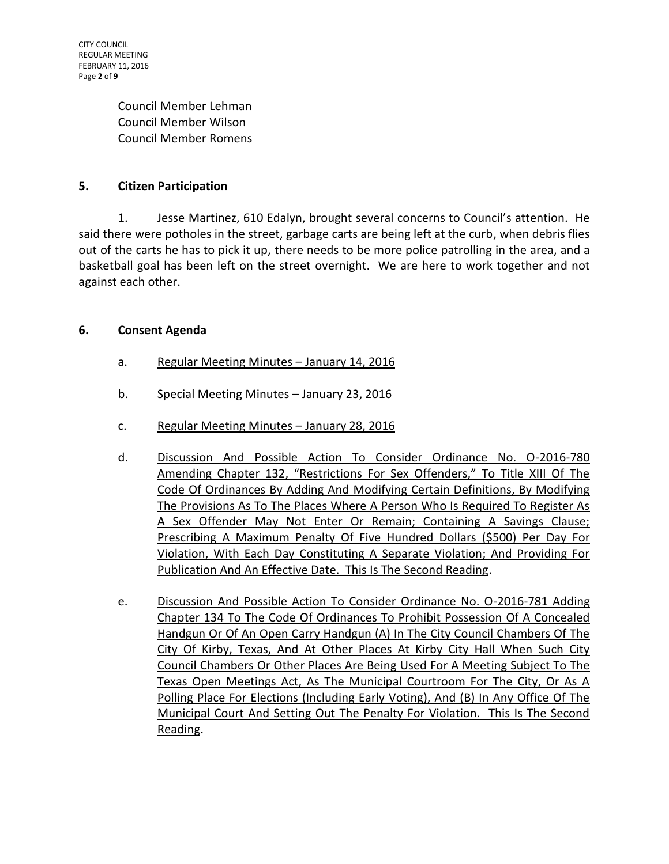CITY COUNCIL REGULAR MEETING FEBRUARY 11, 2016 Page **2** of **9**

> Council Member Lehman Council Member Wilson Council Member Romens

# **5. Citizen Participation**

1. Jesse Martinez, 610 Edalyn, brought several concerns to Council's attention. He said there were potholes in the street, garbage carts are being left at the curb, when debris flies out of the carts he has to pick it up, there needs to be more police patrolling in the area, and a basketball goal has been left on the street overnight. We are here to work together and not against each other.

#### **6. Consent Agenda**

- a. Regular Meeting Minutes January 14, 2016
- b. Special Meeting Minutes January 23, 2016
- c. Regular Meeting Minutes January 28, 2016
- d. Discussion And Possible Action To Consider Ordinance No. O-2016-780 Amending Chapter 132, "Restrictions For Sex Offenders," To Title XIII Of The Code Of Ordinances By Adding And Modifying Certain Definitions, By Modifying The Provisions As To The Places Where A Person Who Is Required To Register As A Sex Offender May Not Enter Or Remain; Containing A Savings Clause; Prescribing A Maximum Penalty Of Five Hundred Dollars (\$500) Per Day For Violation, With Each Day Constituting A Separate Violation; And Providing For Publication And An Effective Date. This Is The Second Reading.
- e. Discussion And Possible Action To Consider Ordinance No. O-2016-781 Adding Chapter 134 To The Code Of Ordinances To Prohibit Possession Of A Concealed Handgun Or Of An Open Carry Handgun (A) In The City Council Chambers Of The City Of Kirby, Texas, And At Other Places At Kirby City Hall When Such City Council Chambers Or Other Places Are Being Used For A Meeting Subject To The Texas Open Meetings Act, As The Municipal Courtroom For The City, Or As A Polling Place For Elections (Including Early Voting), And (B) In Any Office Of The Municipal Court And Setting Out The Penalty For Violation. This Is The Second Reading.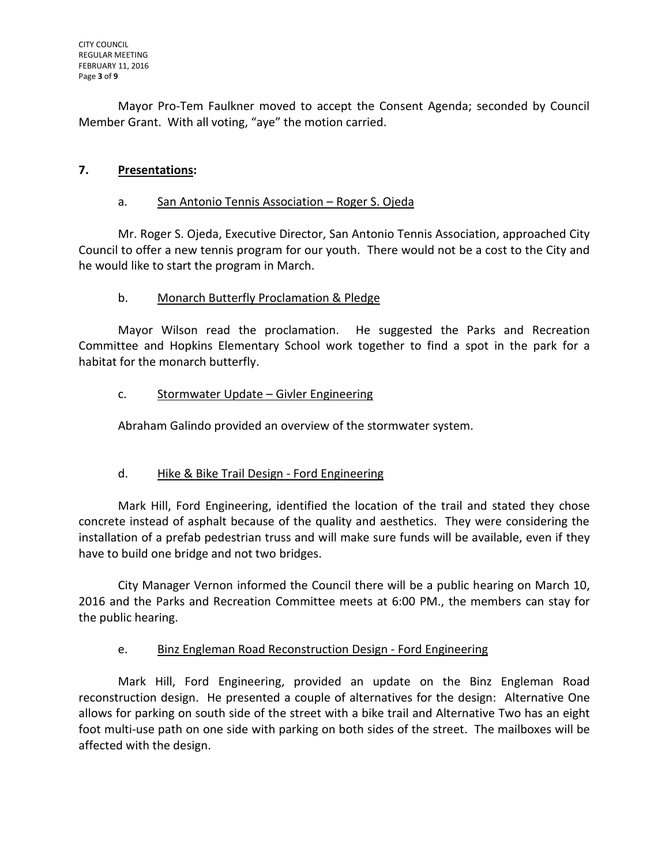Mayor Pro-Tem Faulkner moved to accept the Consent Agenda; seconded by Council Member Grant. With all voting, "aye" the motion carried.

# **7. Presentations:**

### a. San Antonio Tennis Association – Roger S. Ojeda

Mr. Roger S. Ojeda, Executive Director, San Antonio Tennis Association, approached City Council to offer a new tennis program for our youth. There would not be a cost to the City and he would like to start the program in March.

# b. Monarch Butterfly Proclamation & Pledge

Mayor Wilson read the proclamation. He suggested the Parks and Recreation Committee and Hopkins Elementary School work together to find a spot in the park for a habitat for the monarch butterfly.

# c. Stormwater Update – Givler Engineering

Abraham Galindo provided an overview of the stormwater system.

# d. Hike & Bike Trail Design - Ford Engineering

Mark Hill, Ford Engineering, identified the location of the trail and stated they chose concrete instead of asphalt because of the quality and aesthetics. They were considering the installation of a prefab pedestrian truss and will make sure funds will be available, even if they have to build one bridge and not two bridges.

City Manager Vernon informed the Council there will be a public hearing on March 10, 2016 and the Parks and Recreation Committee meets at 6:00 PM., the members can stay for the public hearing.

# e. Binz Engleman Road Reconstruction Design - Ford Engineering

Mark Hill, Ford Engineering, provided an update on the Binz Engleman Road reconstruction design. He presented a couple of alternatives for the design: Alternative One allows for parking on south side of the street with a bike trail and Alternative Two has an eight foot multi-use path on one side with parking on both sides of the street. The mailboxes will be affected with the design.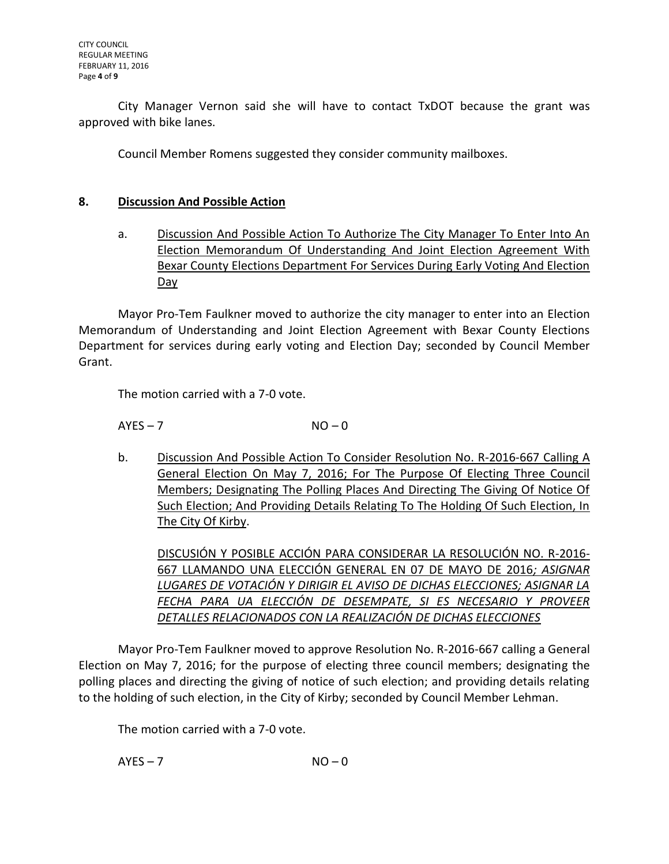City Manager Vernon said she will have to contact TxDOT because the grant was approved with bike lanes.

Council Member Romens suggested they consider community mailboxes.

#### **8. Discussion And Possible Action**

a. Discussion And Possible Action To Authorize The City Manager To Enter Into An Election Memorandum Of Understanding And Joint Election Agreement With Bexar County Elections Department For Services During Early Voting And Election Day

Mayor Pro-Tem Faulkner moved to authorize the city manager to enter into an Election Memorandum of Understanding and Joint Election Agreement with Bexar County Elections Department for services during early voting and Election Day; seconded by Council Member Grant.

The motion carried with a 7-0 vote.

 $AYES - 7$   $NO - 0$ 

b. Discussion And Possible Action To Consider Resolution No. R-2016-667 Calling A General Election On May 7, 2016; For The Purpose Of Electing Three Council Members; Designating The Polling Places And Directing The Giving Of Notice Of Such Election; And Providing Details Relating To The Holding Of Such Election, In The City Of Kirby.

DISCUSIÓN Y POSIBLE ACCIÓN PARA CONSIDERAR LA RESOLUCIÓN NO. R-2016- 667 LLAMANDO UNA ELECCIÓN GENERAL EN 07 DE MAYO DE 2016*; ASIGNAR LUGARES DE VOTACIÓN Y DIRIGIR EL AVISO DE DICHAS ELECCIONES; ASIGNAR LA FECHA PARA UA ELECCIÓN DE DESEMPATE, SI ES NECESARIO Y PROVEER DETALLES RELACIONADOS CON LA REALIZACIÓN DE DICHAS ELECCIONES*

Mayor Pro-Tem Faulkner moved to approve Resolution No. R-2016-667 calling a General Election on May 7, 2016; for the purpose of electing three council members; designating the polling places and directing the giving of notice of such election; and providing details relating to the holding of such election, in the City of Kirby; seconded by Council Member Lehman.

The motion carried with a 7-0 vote.

 $AYES - 7$   $NO - 0$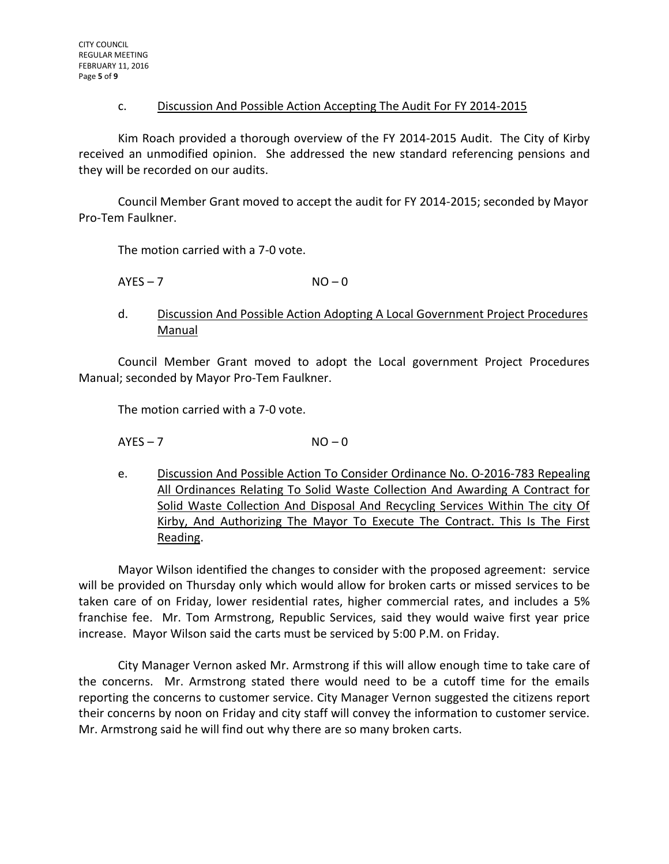#### c. Discussion And Possible Action Accepting The Audit For FY 2014-2015

Kim Roach provided a thorough overview of the FY 2014-2015 Audit. The City of Kirby received an unmodified opinion. She addressed the new standard referencing pensions and they will be recorded on our audits.

Council Member Grant moved to accept the audit for FY 2014-2015; seconded by Mayor Pro-Tem Faulkner.

The motion carried with a 7-0 vote.

$$
AYES - 7 \t\t NO - 0
$$

#### d. Discussion And Possible Action Adopting A Local Government Project Procedures Manual

Council Member Grant moved to adopt the Local government Project Procedures Manual; seconded by Mayor Pro-Tem Faulkner.

The motion carried with a 7-0 vote.

 $AYES - 7$   $NO - 0$ 

e. Discussion And Possible Action To Consider Ordinance No. O-2016-783 Repealing All Ordinances Relating To Solid Waste Collection And Awarding A Contract for Solid Waste Collection And Disposal And Recycling Services Within The city Of Kirby, And Authorizing The Mayor To Execute The Contract. This Is The First Reading.

Mayor Wilson identified the changes to consider with the proposed agreement: service will be provided on Thursday only which would allow for broken carts or missed services to be taken care of on Friday, lower residential rates, higher commercial rates, and includes a 5% franchise fee. Mr. Tom Armstrong, Republic Services, said they would waive first year price increase. Mayor Wilson said the carts must be serviced by 5:00 P.M. on Friday.

City Manager Vernon asked Mr. Armstrong if this will allow enough time to take care of the concerns. Mr. Armstrong stated there would need to be a cutoff time for the emails reporting the concerns to customer service. City Manager Vernon suggested the citizens report their concerns by noon on Friday and city staff will convey the information to customer service. Mr. Armstrong said he will find out why there are so many broken carts.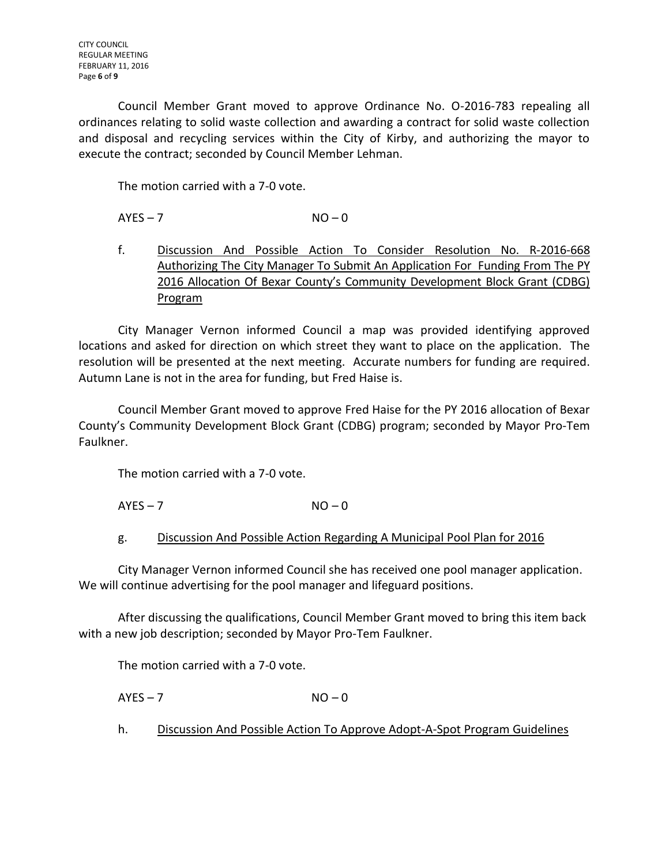Council Member Grant moved to approve Ordinance No. O-2016-783 repealing all ordinances relating to solid waste collection and awarding a contract for solid waste collection and disposal and recycling services within the City of Kirby, and authorizing the mayor to execute the contract; seconded by Council Member Lehman.

The motion carried with a 7-0 vote.

 $AYES - 7$   $NO - 0$ 

f. Discussion And Possible Action To Consider Resolution No. R-2016-668 Authorizing The City Manager To Submit An Application For Funding From The PY 2016 Allocation Of Bexar County's Community Development Block Grant (CDBG) Program

City Manager Vernon informed Council a map was provided identifying approved locations and asked for direction on which street they want to place on the application. The resolution will be presented at the next meeting. Accurate numbers for funding are required. Autumn Lane is not in the area for funding, but Fred Haise is.

Council Member Grant moved to approve Fred Haise for the PY 2016 allocation of Bexar County's Community Development Block Grant (CDBG) program; seconded by Mayor Pro-Tem Faulkner.

The motion carried with a 7-0 vote.

 $AYES - 7$   $NO - 0$ 

g. Discussion And Possible Action Regarding A Municipal Pool Plan for 2016

City Manager Vernon informed Council she has received one pool manager application. We will continue advertising for the pool manager and lifeguard positions.

After discussing the qualifications, Council Member Grant moved to bring this item back with a new job description; seconded by Mayor Pro-Tem Faulkner.

The motion carried with a 7-0 vote.

 $AYES - 7$   $NO - 0$ 

h. Discussion And Possible Action To Approve Adopt-A-Spot Program Guidelines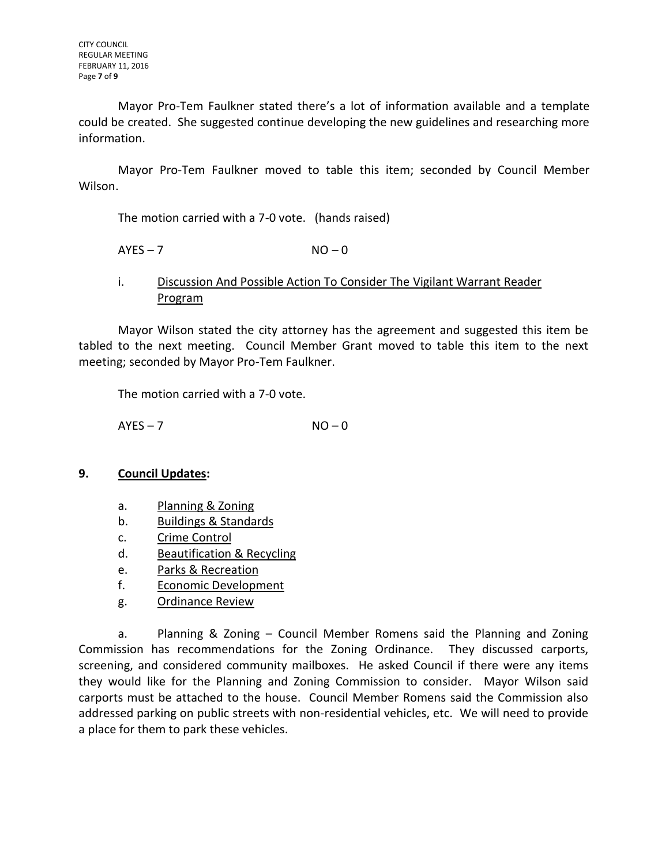Mayor Pro-Tem Faulkner stated there's a lot of information available and a template could be created. She suggested continue developing the new guidelines and researching more information.

Mayor Pro-Tem Faulkner moved to table this item; seconded by Council Member Wilson.

The motion carried with a 7-0 vote. (hands raised)

 $AYES - 7$   $NO - 0$ 

### i. Discussion And Possible Action To Consider The Vigilant Warrant Reader Program

Mayor Wilson stated the city attorney has the agreement and suggested this item be tabled to the next meeting. Council Member Grant moved to table this item to the next meeting; seconded by Mayor Pro-Tem Faulkner.

The motion carried with a 7-0 vote.

 $AYES - 7$   $NO - 0$ 

#### **9. Council Updates:**

- a. Planning & Zoning
- b. Buildings & Standards
- c. Crime Control
- d. Beautification & Recycling
- e. Parks & Recreation
- f. Economic Development
- g. Ordinance Review

a. Planning & Zoning – Council Member Romens said the Planning and Zoning Commission has recommendations for the Zoning Ordinance. They discussed carports, screening, and considered community mailboxes. He asked Council if there were any items they would like for the Planning and Zoning Commission to consider. Mayor Wilson said carports must be attached to the house. Council Member Romens said the Commission also addressed parking on public streets with non-residential vehicles, etc. We will need to provide a place for them to park these vehicles.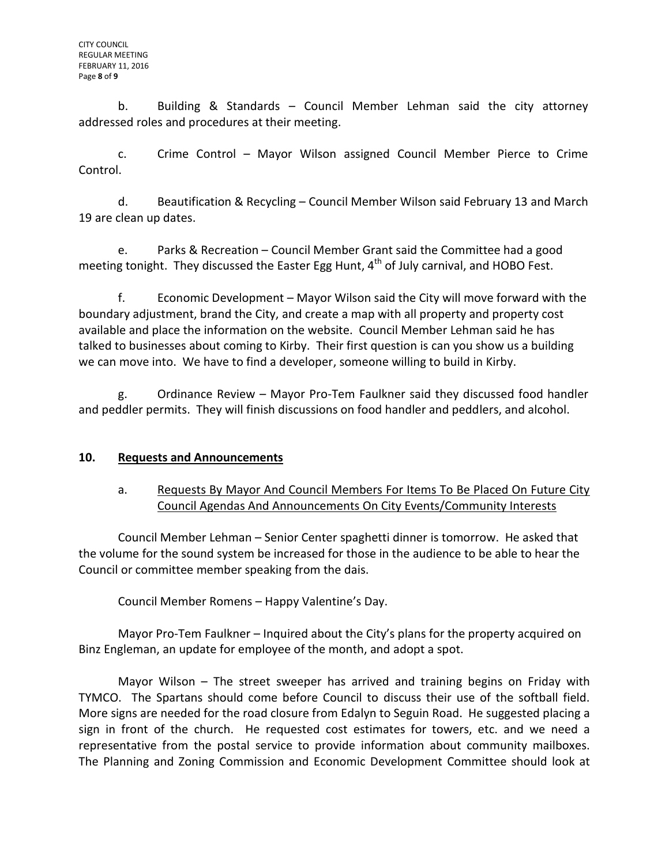b. Building & Standards – Council Member Lehman said the city attorney addressed roles and procedures at their meeting.

c. Crime Control – Mayor Wilson assigned Council Member Pierce to Crime Control.

d. Beautification & Recycling – Council Member Wilson said February 13 and March 19 are clean up dates.

e. Parks & Recreation – Council Member Grant said the Committee had a good meeting tonight. They discussed the Easter Egg Hunt, 4<sup>th</sup> of July carnival, and HOBO Fest.

f. Economic Development – Mayor Wilson said the City will move forward with the boundary adjustment, brand the City, and create a map with all property and property cost available and place the information on the website. Council Member Lehman said he has talked to businesses about coming to Kirby. Their first question is can you show us a building we can move into. We have to find a developer, someone willing to build in Kirby.

g. Ordinance Review – Mayor Pro-Tem Faulkner said they discussed food handler and peddler permits. They will finish discussions on food handler and peddlers, and alcohol.

# **10. Requests and Announcements**

# a. Requests By Mayor And Council Members For Items To Be Placed On Future City Council Agendas And Announcements On City Events/Community Interests

Council Member Lehman – Senior Center spaghetti dinner is tomorrow. He asked that the volume for the sound system be increased for those in the audience to be able to hear the Council or committee member speaking from the dais.

Council Member Romens – Happy Valentine's Day.

Mayor Pro-Tem Faulkner – Inquired about the City's plans for the property acquired on Binz Engleman, an update for employee of the month, and adopt a spot.

Mayor Wilson – The street sweeper has arrived and training begins on Friday with TYMCO. The Spartans should come before Council to discuss their use of the softball field. More signs are needed for the road closure from Edalyn to Seguin Road. He suggested placing a sign in front of the church. He requested cost estimates for towers, etc. and we need a representative from the postal service to provide information about community mailboxes. The Planning and Zoning Commission and Economic Development Committee should look at